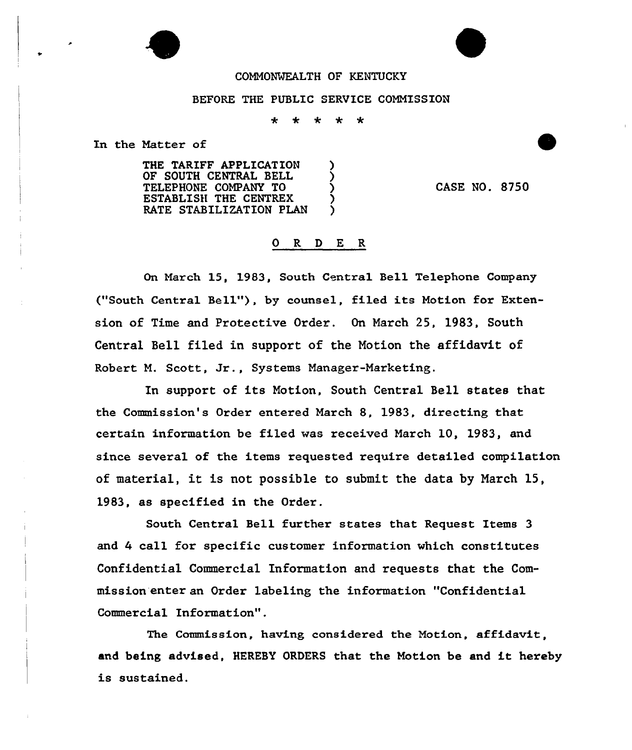## COMMONWEALTH QF KENTUCKY

## BEFORE THE PUBLIC SERVICE COMMISSION

\* \* \* \* \*

In the Matter of

THE TARIFF APPLICATION OF SOUTH CENTRAL BELL ) TELEPHONE COMPANY TO ) ESTABLISH THE CENTREX RATE STABILIZATION PLAN

CASE NO. 8750

## 0 R <sup>D</sup> E R

On March 15, 1983, South Central Bell Telephone Company ("South Central Sell"), by counsel, filed its Motion for Extension of Time and Pxotective Order. On March 25, 1983, South Central Bell filed in support of the Notion the affidavit of Robert M. Scott, Jr., Systems Manager-Marketing.

In support of its Motion, South Central Sell states that the Commission's Order entered March 8, 1983, directing that certain information be filed was received March 10, 1983, and since several of the items requested require detailed compilation of material, it is not possible to submit the data by March 15, 1983, as specified in the Order.

South Central Bell further states that Request Items 3 and <sup>4</sup> call for specific customer information which constitutes Confidential Commercial Information and requests that the Commission enter an Order labeling the information "Confidential Commercial Information".

The Commission, having considered the Motion, affidavit, and being advised, HEREBY ORDERS that the Motion be end it hereby is sustained.